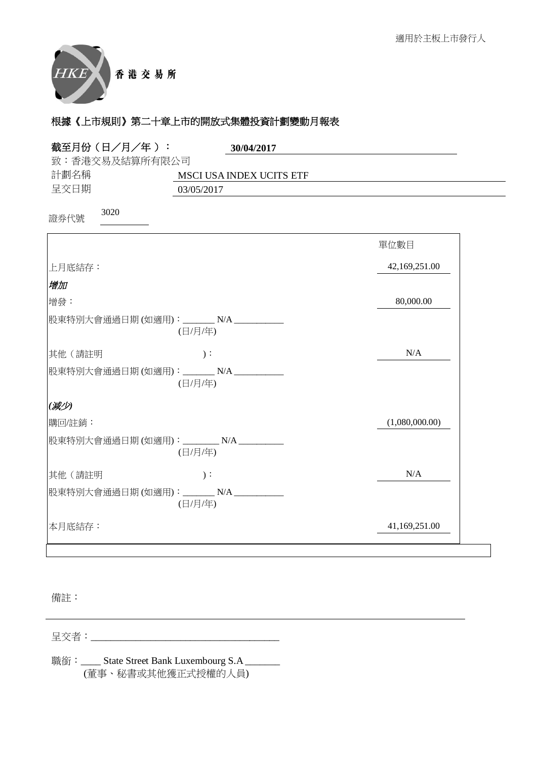

| 截至月份 (日/月/年):                          | 30/04/2017                      |                |
|----------------------------------------|---------------------------------|----------------|
| 致:香港交易及結算所有限公司                         |                                 |                |
| 計劃名稱                                   | <b>MSCI USA INDEX UCITS ETF</b> |                |
| 呈交日期                                   | 03/05/2017                      |                |
| 3020<br>證券代號                           |                                 |                |
|                                        |                                 | 單位數目           |
| 上月底結存:                                 |                                 | 42,169,251.00  |
| 增加                                     |                                 |                |
| 增發:                                    |                                 | 80,000.00      |
| 股東特別大會通過日期(如適用): _______N/A __________ | (日/月/年)                         |                |
| 其他(請註明                                 | $)$ :                           | N/A            |
| 股東特別大會通過日期(如適用): _______N/A __________ | (日/月/年)                         |                |
| (减少)                                   |                                 |                |
| 購回/註銷:                                 |                                 | (1,080,000.00) |
| 股東特別大會通過日期(如適用): ________N/A _________ | (日/月/年)                         |                |
| 其他(請註明                                 | $)$ :                           | N/A            |
| 股東特別大會通過日期(如適用): _______N/A __________ | (日/月/年)                         |                |
| 本月底結存:                                 |                                 | 41,169,251.00  |

備註:

⏰Ṍ侭烉\_\_\_\_\_\_\_\_\_\_\_\_\_\_\_\_\_\_\_\_\_\_\_\_\_\_\_\_\_\_\_\_\_\_\_\_\_\_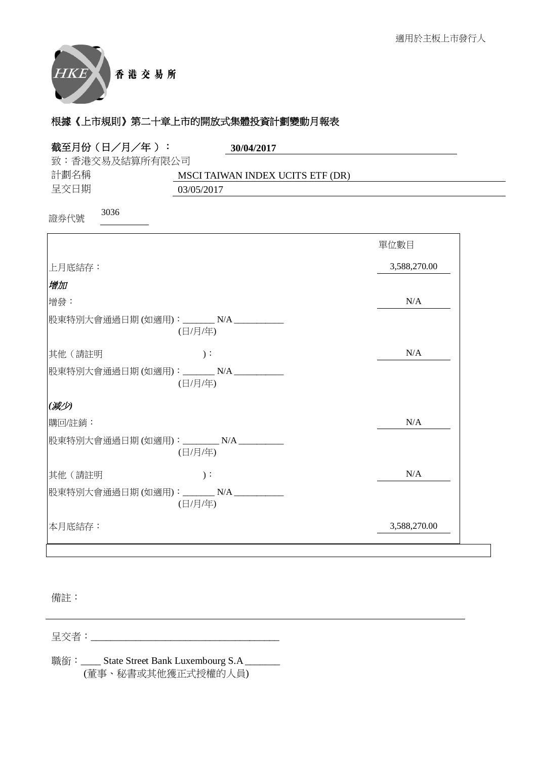

| 截至月份(日/月/年):<br>30/04/2017                          |              |
|-----------------------------------------------------|--------------|
| 致:香港交易及結算所有限公司                                      |              |
| 計劃名稱<br>MSCI TAIWAN INDEX UCITS ETF (DR)<br>呈交日期    |              |
| 03/05/2017                                          |              |
| 3036<br>證券代號                                        |              |
|                                                     | 單位數目         |
| 上月底結存:                                              | 3,588,270.00 |
| 增加                                                  |              |
| 增發:                                                 | N/A          |
| 股東特別大會通過日期 (如適用):________ N/A __________<br>(日/月/年) |              |
| 其他 (請註明<br>$)$ :                                    | N/A          |
| 股東特別大會通過日期(如適用): _______N/A _________<br>(日/月/年)    |              |
| (减少)                                                |              |
| 購回/註銷:                                              | N/A          |
| 股東特別大會通過日期(如適用): ________ N/A ________<br>(日/月/年)   |              |
| 其他(請註明<br>$)$ :                                     | N/A          |
| 股東特別大會通過日期(如適用): _______ N/A __________<br>(日/月/年)  |              |
| 本月底結存:                                              | 3,588,270.00 |
|                                                     |              |

備註:

⏰Ṍ侭烉\_\_\_\_\_\_\_\_\_\_\_\_\_\_\_\_\_\_\_\_\_\_\_\_\_\_\_\_\_\_\_\_\_\_\_\_\_\_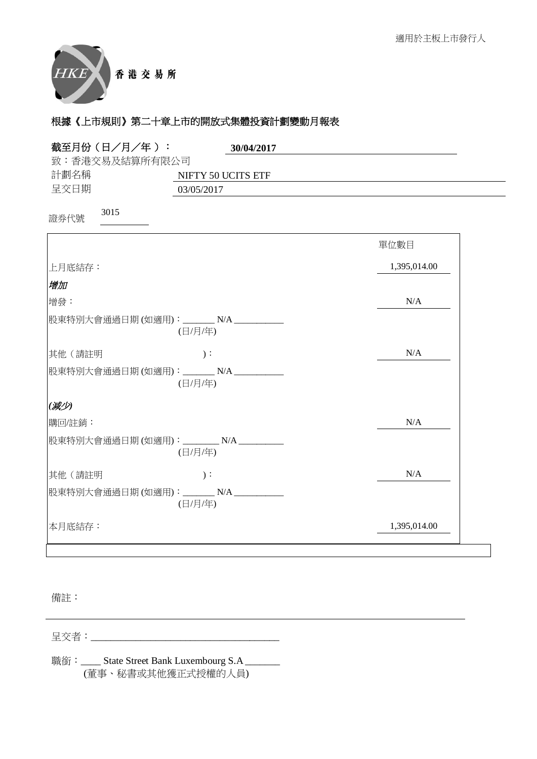

| 截至月份 (日/月/年):<br>30/04/2017                         |              |
|-----------------------------------------------------|--------------|
| 致:香港交易及結算所有限公司                                      |              |
| 計劃名稱<br>NIFTY 50 UCITS ETF                          |              |
| 呈交日期<br>03/05/2017                                  |              |
| 3015<br>證券代號                                        |              |
|                                                     | 單位數目         |
| 上月底結存:                                              | 1,395,014.00 |
| 增加                                                  |              |
| 增發:                                                 | N/A          |
| 股東特別大會通過日期(如適用): _______ N/A _________<br>(日/月/年)   |              |
| 其他(請註明<br>$)$ :                                     | N/A          |
| 股東特別大會通過日期(如適用): _______N/A __________<br>(日/月/年)   |              |
| (减少)                                                |              |
| 購回/註銷:                                              | N/A          |
| 股東特別大會通過日期(如適用): ________ N/A __________<br>(日/月/年) |              |
| 其他(請註明<br>$)$ :                                     | N/A          |
| 股東特別大會通過日期(如適用): ______N/A _________<br>(日/月/年)     |              |
| 本月底結存:                                              | 1,395,014.00 |

備註:

⏰Ṍ侭烉\_\_\_\_\_\_\_\_\_\_\_\_\_\_\_\_\_\_\_\_\_\_\_\_\_\_\_\_\_\_\_\_\_\_\_\_\_\_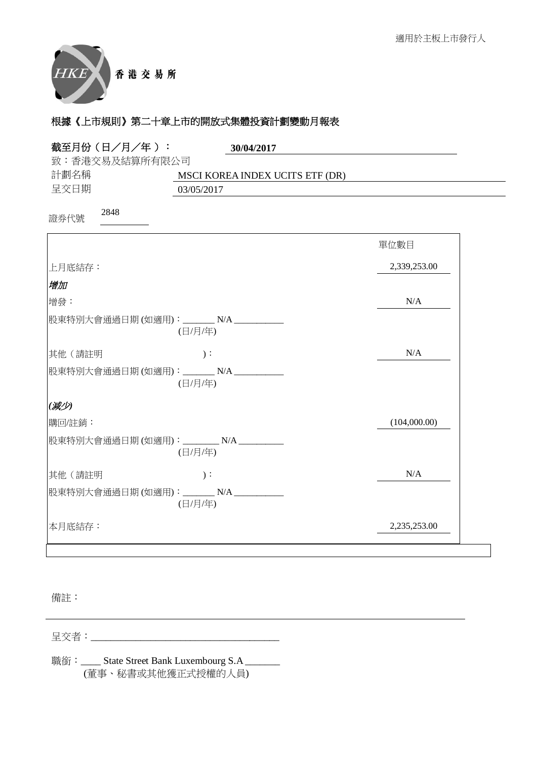

| 截至月份 (日/月/年):<br>30/04/2017                         |              |
|-----------------------------------------------------|--------------|
| 致:香港交易及結算所有限公司                                      |              |
| 計劃名稱<br>MSCI KOREA INDEX UCITS ETF (DR)             |              |
| 呈交日期<br>03/05/2017                                  |              |
| 2848<br>證券代號                                        |              |
|                                                     | 單位數目         |
| 上月底結存:                                              | 2,339,253.00 |
| 增加                                                  |              |
| 增發:                                                 | N/A          |
| 股東特別大會通過日期(如適用): _______ N/A _________<br>(日/月/年)   |              |
| 其他(請註明<br>$)$ :                                     | N/A          |
| 股東特別大會通過日期(如適用): _______N/A __________<br>(日/月/年)   |              |
| (减少)                                                |              |
| 購回/註銷:                                              | (104,000.00) |
| 股東特別大會通過日期(如適用): ________ N/A __________<br>(日/月/年) |              |
| 其他(請註明<br>$)$ :                                     | N/A          |
| 股東特別大會通過日期(如適用): _______N/A __________<br>(日/月/年)   |              |
| 本月底結存:                                              | 2,235,253.00 |

備註:

⏰Ṍ侭烉\_\_\_\_\_\_\_\_\_\_\_\_\_\_\_\_\_\_\_\_\_\_\_\_\_\_\_\_\_\_\_\_\_\_\_\_\_\_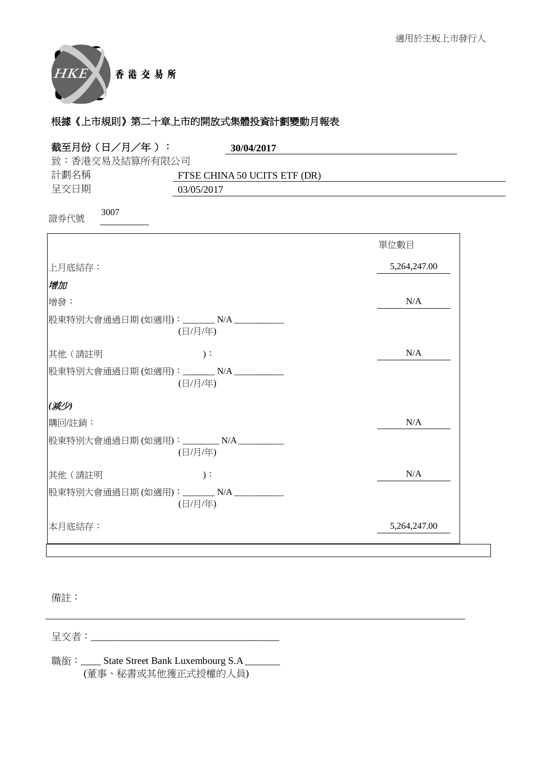

| 截至月份 (日/月/年):<br>30/04/2017                        |              |
|----------------------------------------------------|--------------|
| 致:香港交易及結算所有限公司                                     |              |
| 計劃名稱<br>FTSE CHINA 50 UCITS ETF (DR)               |              |
| 呈交日期<br>03/05/2017                                 |              |
| 3007<br>證券代號                                       |              |
|                                                    | 單位數目         |
| 上月底結存:                                             | 5,264,247.00 |
| 增加                                                 |              |
| 增發:                                                | N/A          |
| 股東特別大會通過日期(如適用): _______ N/A _________<br>(日/月/年)  |              |
| 其他(請註明<br>$)$ :                                    | N/A          |
| 股東特別大會通過日期(如適用): _______N/A __________<br>(日/月/年)  |              |
| (减少)                                               |              |
| 購回/註銷:                                             | N/A          |
| 股東特別大會通過日期(如適用): ________ N/A _________<br>(日/月/年) |              |
| 其他(請註明<br>$)$ :                                    | N/A          |
| 股東特別大會通過日期(如適用): _______N/A __________<br>(日/月/年)  |              |
| 本月底結存:                                             | 5,264,247.00 |

備註:

⏰Ṍ侭烉\_\_\_\_\_\_\_\_\_\_\_\_\_\_\_\_\_\_\_\_\_\_\_\_\_\_\_\_\_\_\_\_\_\_\_\_\_\_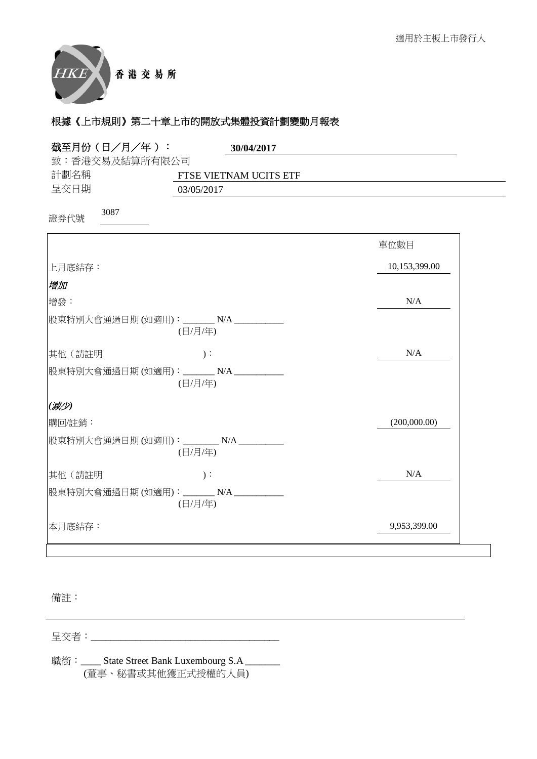

| 截至月份 (日/月/年):<br>30/04/2017                       |               |
|---------------------------------------------------|---------------|
| 致:香港交易及結算所有限公司                                    |               |
| 計劃名稱<br>FTSE VIETNAM UCITS ETF                    |               |
| 呈交日期<br>03/05/2017                                |               |
| 3087<br>證券代號                                      |               |
|                                                   | 單位數目          |
| 上月底結存:                                            | 10,153,399.00 |
| 增加                                                |               |
| 增發:                                               | N/A           |
| 股東特別大會通過日期(如適用): _______ N/A _________<br>(日/月/年) |               |
| 其他(請註明<br>$)$ :                                   | N/A           |
| 股東特別大會通過日期(如適用): _______N/A __________<br>(日/月/年) |               |
| (减少)                                              |               |
| 購回/註銷:                                            | (200,000.00)  |
| 股東特別大會通過日期(如適用): ________N/A _________<br>(日/月/年) |               |
| 其他(請註明<br>$)$ :                                   | N/A           |
| 股東特別大會通過日期(如適用): _______N/A __________<br>(日/月/年) |               |
| 本月底結存:                                            | 9,953,399.00  |

備註:

⏰Ṍ侭烉\_\_\_\_\_\_\_\_\_\_\_\_\_\_\_\_\_\_\_\_\_\_\_\_\_\_\_\_\_\_\_\_\_\_\_\_\_\_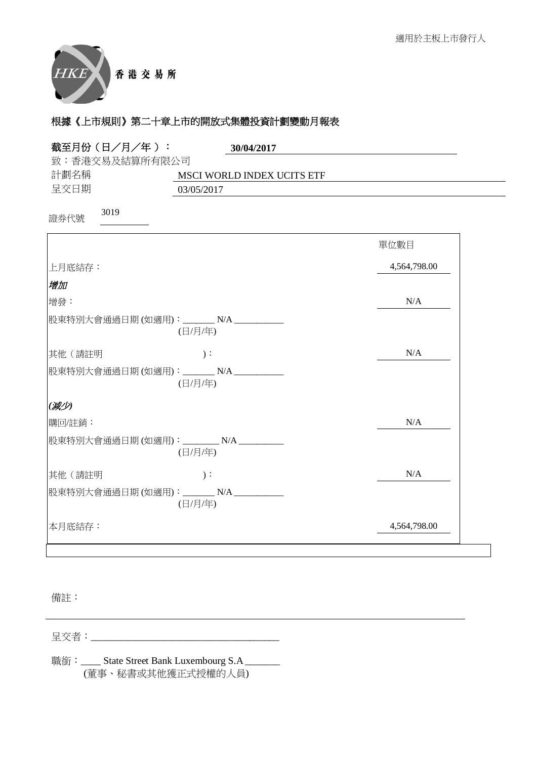

| 截至月份 (日/月/年):<br>30/04/2017                        |              |
|----------------------------------------------------|--------------|
| 致:香港交易及結算所有限公司                                     |              |
| 計劃名稱<br>MSCI WORLD INDEX UCITS ETF                 |              |
| 呈交日期<br>03/05/2017                                 |              |
| 3019<br>證券代號                                       |              |
|                                                    | 單位數目         |
| 上月底結存:                                             | 4,564,798.00 |
| 增加                                                 |              |
| 增發:                                                | N/A          |
| 股東特別大會通過日期(如適用): _______ N/A _________<br>(日/月/年)  |              |
| 其他 (請註明<br>$)$ :                                   | N/A          |
| 股東特別大會通過日期(如適用): _______N/A __________<br>(日/月/年)  |              |
| (减少)                                               |              |
| 購回/註銷:                                             | N/A          |
| 股東特別大會通過日期(如適用): ________ N/A _________<br>(日/月/年) |              |
| 其他(請註明<br>$)$ :                                    | N/A          |
| 股東特別大會通過日期(如適用): _______N/A __________<br>(日/月/年)  |              |
| 本月底結存:                                             | 4,564,798.00 |

備註:

⏰Ṍ侭烉\_\_\_\_\_\_\_\_\_\_\_\_\_\_\_\_\_\_\_\_\_\_\_\_\_\_\_\_\_\_\_\_\_\_\_\_\_\_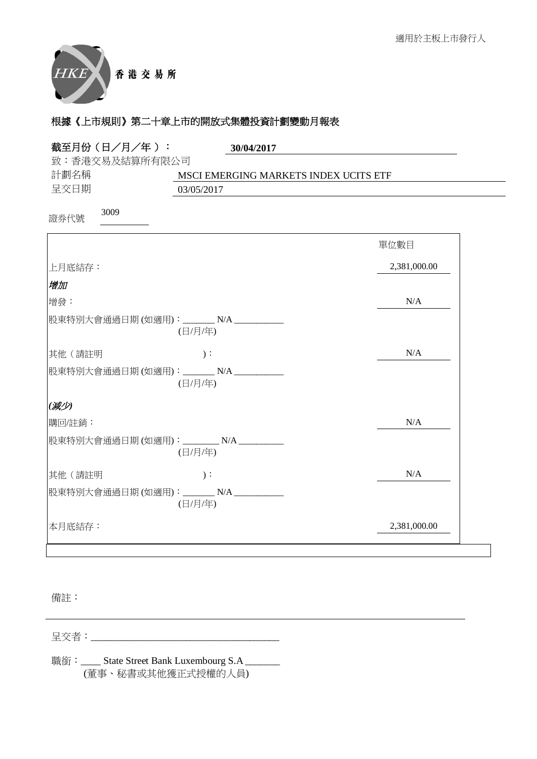

| 致:香港交易及結算所有限公司<br>計劃名稱<br>MSCI EMERGING MARKETS INDEX UCITS ETF<br>呈交日期<br>03/05/2017<br>3009<br>證券代號<br>單位數目<br>2,381,000.00<br> 上月底結存:<br>增加<br>N/A<br>增發:<br>股東特別大會通過日期 (如適用):________ N/A __________<br>(日/月/年)<br>其他(請註明<br>N/A<br>$)$ :<br>股東特別大會通過日期(如適用): _______ N/A _________<br>(日/月/年)<br>(减少)<br>購回/註銷:<br>N/A<br>股東特別大會通過日期(如適用): ________ N/A ______<br>(日/月/年)<br>N/A<br>其他(請註明<br>$)$ :<br>股東特別大會通過日期(如適用): _______N/A __________<br>(日/月/年)<br>2,381,000.00<br>本月底結存: | 截至月份(日/月/年): | 30/04/2017 |
|-----------------------------------------------------------------------------------------------------------------------------------------------------------------------------------------------------------------------------------------------------------------------------------------------------------------------------------------------------------------------------------------------------------------------------------------------------------------------------------------|--------------|------------|
|                                                                                                                                                                                                                                                                                                                                                                                                                                                                                         |              |            |
|                                                                                                                                                                                                                                                                                                                                                                                                                                                                                         |              |            |
|                                                                                                                                                                                                                                                                                                                                                                                                                                                                                         |              |            |
|                                                                                                                                                                                                                                                                                                                                                                                                                                                                                         |              |            |
|                                                                                                                                                                                                                                                                                                                                                                                                                                                                                         |              |            |
|                                                                                                                                                                                                                                                                                                                                                                                                                                                                                         |              |            |
|                                                                                                                                                                                                                                                                                                                                                                                                                                                                                         |              |            |
|                                                                                                                                                                                                                                                                                                                                                                                                                                                                                         |              |            |
|                                                                                                                                                                                                                                                                                                                                                                                                                                                                                         |              |            |
|                                                                                                                                                                                                                                                                                                                                                                                                                                                                                         |              |            |
|                                                                                                                                                                                                                                                                                                                                                                                                                                                                                         |              |            |
|                                                                                                                                                                                                                                                                                                                                                                                                                                                                                         |              |            |
|                                                                                                                                                                                                                                                                                                                                                                                                                                                                                         |              |            |
|                                                                                                                                                                                                                                                                                                                                                                                                                                                                                         |              |            |
|                                                                                                                                                                                                                                                                                                                                                                                                                                                                                         |              |            |
|                                                                                                                                                                                                                                                                                                                                                                                                                                                                                         |              |            |

備註:

⏰Ṍ侭烉\_\_\_\_\_\_\_\_\_\_\_\_\_\_\_\_\_\_\_\_\_\_\_\_\_\_\_\_\_\_\_\_\_\_\_\_\_\_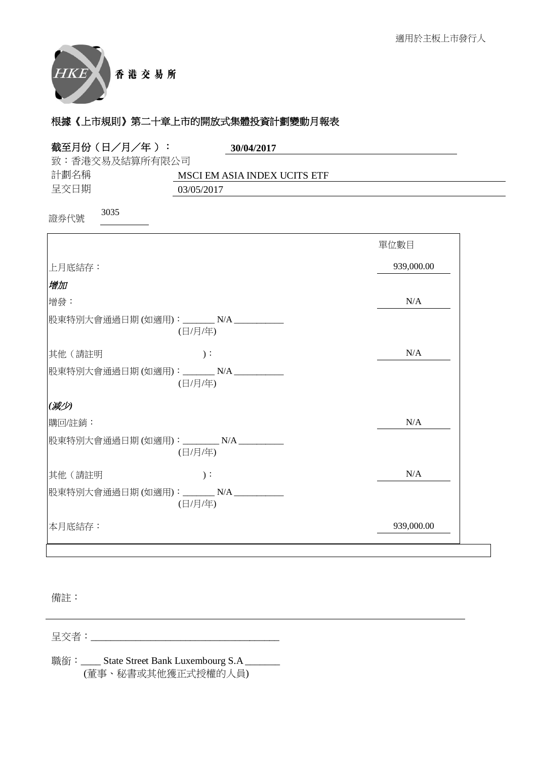

| 截至月份 (日/月/年):                    | 30/04/2017                                        |            |
|----------------------------------|---------------------------------------------------|------------|
| 致:香港交易及結算所有限公司                   |                                                   |            |
| 計劃名稱                             | MSCI EM ASIA INDEX UCITS ETF                      |            |
| 呈交日期                             | 03/05/2017                                        |            |
| 3035<br>證券代號                     |                                                   |            |
|                                  |                                                   | 單位數目       |
| 上月底結存:                           |                                                   | 939,000.00 |
| 増加                               |                                                   |            |
| 增發:                              |                                                   | N/A        |
|                                  | 股東特別大會通過日期(如適用): _______N/A ________<br>(日/月/年)   |            |
| 其他(請註明                           | $)$ :                                             | N/A        |
|                                  | 股東特別大會通過日期(如適用): _______N/A _________<br>(日/月/年)  |            |
| (减少)                             |                                                   |            |
| 購回/註銷:                           |                                                   | N/A        |
| 股東特別大會通過日期(如適用): _______ N/A ___ | (日/月/年)                                           |            |
| 其他 (請註明                          | $)$ :                                             | N/A        |
|                                  | 股東特別大會通過日期(如適用): _______ N/A _________<br>(日/月/年) |            |
| 本月底結存:                           |                                                   | 939,000.00 |

備註:

⏰Ṍ侭烉\_\_\_\_\_\_\_\_\_\_\_\_\_\_\_\_\_\_\_\_\_\_\_\_\_\_\_\_\_\_\_\_\_\_\_\_\_\_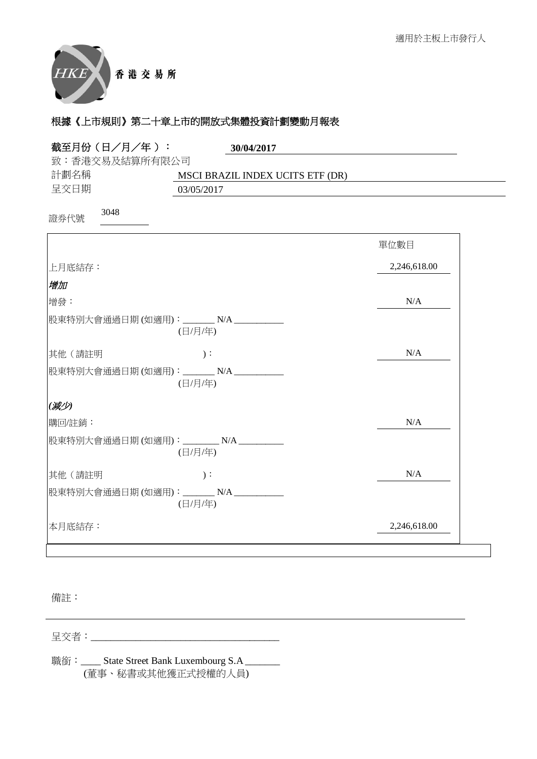

| 截至月份 (日/月/年):<br>30/04/2017                        |              |
|----------------------------------------------------|--------------|
| 致:香港交易及結算所有限公司                                     |              |
| 計劃名稱<br>MSCI BRAZIL INDEX UCITS ETF (DR)           |              |
| 呈交日期<br>03/05/2017                                 |              |
| 3048<br>證券代號                                       |              |
|                                                    | 單位數目         |
| 上月底結存:                                             | 2,246,618.00 |
| 增加                                                 |              |
| 增發:                                                | N/A          |
| 股東特別大會通過日期(如適用): _______N/A _________<br>(日/月/年)   |              |
| 其他(請註明<br>$)$ :                                    | N/A          |
| 股東特別大會通過日期(如適用): _______N/A __________<br>(日/月/年)  |              |
| (减少)                                               |              |
| 購回/註銷:                                             | N/A          |
| 股東特別大會通過日期(如適用): ________ N/A _________<br>(日/月/年) |              |
| 其他(請註明<br>$)$ :                                    | N/A          |
| 股東特別大會通過日期(如適用): _______N/A __________<br>(日/月/年)  |              |
| 本月底結存:                                             | 2,246,618.00 |

備註:

⏰Ṍ侭烉\_\_\_\_\_\_\_\_\_\_\_\_\_\_\_\_\_\_\_\_\_\_\_\_\_\_\_\_\_\_\_\_\_\_\_\_\_\_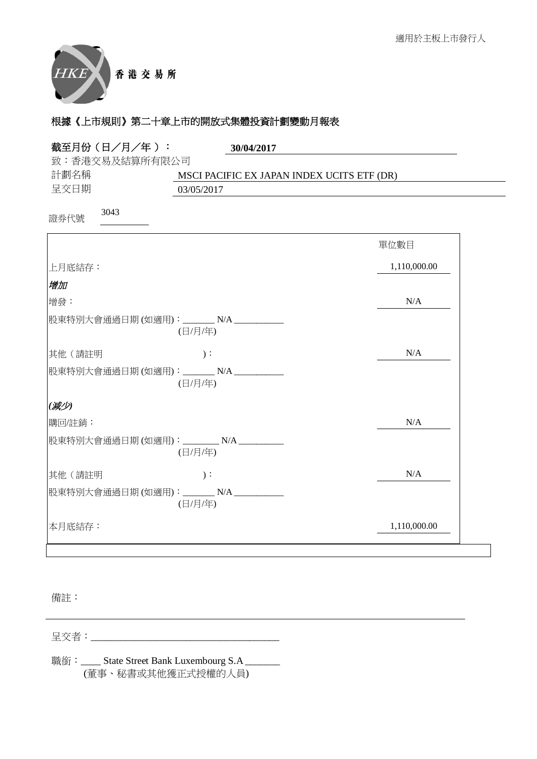

| 截至月份 (日/月/年):<br>30/04/2017                                          |              |
|----------------------------------------------------------------------|--------------|
| 致:香港交易及結算所有限公司<br>計劃名稱<br>MSCI PACIFIC EX JAPAN INDEX UCITS ETF (DR) |              |
| 呈交日期<br>03/05/2017                                                   |              |
| 3043<br>證券代號                                                         |              |
|                                                                      | 單位數目         |
| 上月底結存:                                                               | 1,110,000.00 |
| 增加                                                                   |              |
| 增發:                                                                  | N/A          |
| 股東特別大會通過日期(如適用): _______ N/A _________<br>(日/月/年)                    |              |
| 其他(請註明<br>$)$ :                                                      | N/A          |
| 股東特別大會通過日期(如適用): _______ N/A __________<br>(日/月/年)                   |              |
| (减少)                                                                 |              |
| 購回/註銷:                                                               | N/A          |
| 股東特別大會通過日期(如適用): ________N/A ________<br>(日/月/年)                     |              |
| 其他 (請註明<br>$)$ :                                                     | N/A          |
| 股東特別大會通過日期(如適用): _______N/A __________<br>(日/月/年)                    |              |
| 本月底結存:                                                               | 1,110,000.00 |

備註:

⏰Ṍ侭烉\_\_\_\_\_\_\_\_\_\_\_\_\_\_\_\_\_\_\_\_\_\_\_\_\_\_\_\_\_\_\_\_\_\_\_\_\_\_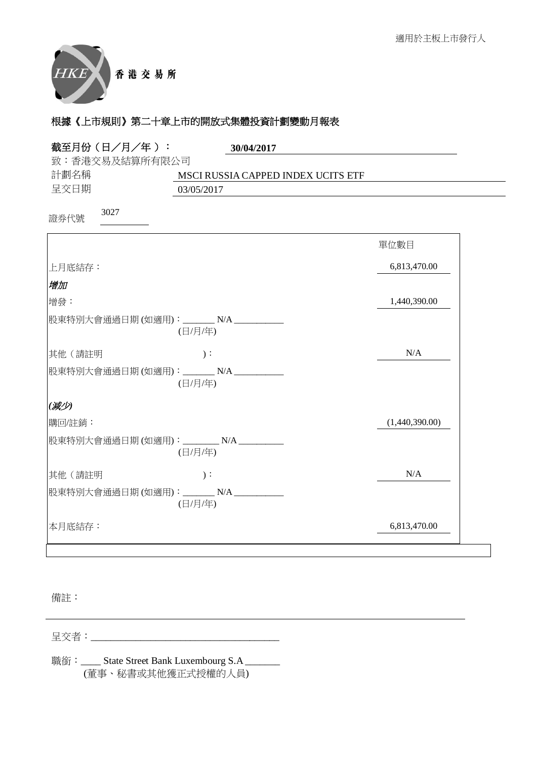

| 截至月份 (日/月/年):  | 30/04/2017                                         |                |
|----------------|----------------------------------------------------|----------------|
| 致:香港交易及結算所有限公司 |                                                    |                |
| 計劃名稱           | MSCI RUSSIA CAPPED INDEX UCITS ETF                 |                |
| 呈交日期           | 03/05/2017                                         |                |
| 3027<br>證券代號   |                                                    |                |
|                |                                                    | 單位數目           |
| 上月底結存:         |                                                    | 6,813,470.00   |
| 增加             |                                                    |                |
| 增發:            |                                                    | 1,440,390.00   |
|                | 股東特別大會通過日期(如適用): _______ N/A __________<br>(日/月/年) |                |
| 其他(請註明         | $)$ :                                              | N/A            |
|                | 股東特別大會通過日期(如適用): _______N/A __________<br>(日/月/年)  |                |
| (减少)           |                                                    |                |
| 購回/註銷:         |                                                    | (1,440,390.00) |
|                | 股東特別大會通過日期(如適用): ________N/A _________<br>(日/月/年)  |                |
| 其他(請註明         | $)$ :                                              | N/A            |
|                | 股東特別大會通過日期(如適用): _______N/A __________<br>(日/月/年)  |                |
| 本月底結存:         |                                                    | 6,813,470.00   |

備註:

⏰Ṍ侭烉\_\_\_\_\_\_\_\_\_\_\_\_\_\_\_\_\_\_\_\_\_\_\_\_\_\_\_\_\_\_\_\_\_\_\_\_\_\_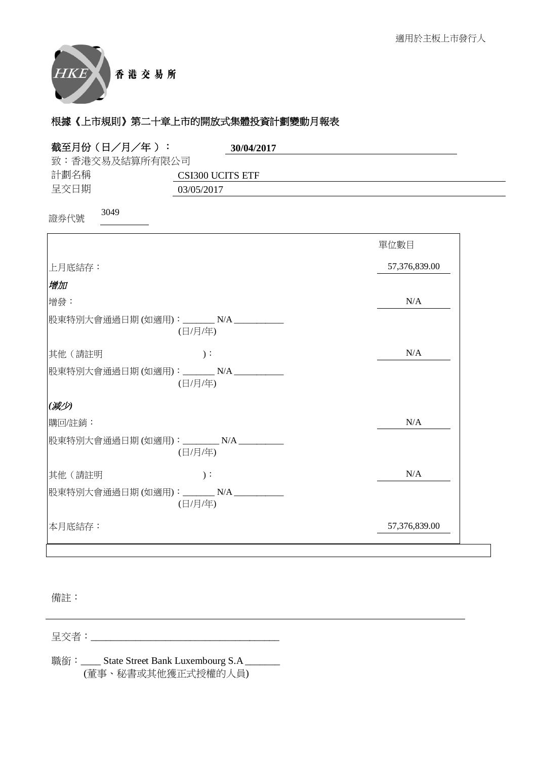

| 截至月份 (日/月/年):<br>30/04/2017                        |               |
|----------------------------------------------------|---------------|
| 致:香港交易及結算所有限公司                                     |               |
| 計劃名稱<br>CSI300 UCITS ETF                           |               |
| 呈交日期<br>03/05/2017                                 |               |
| 3049<br>證券代號                                       |               |
|                                                    | 單位數目          |
| 上月底結存:                                             | 57,376,839.00 |
| 增加                                                 |               |
| 增發:                                                | N/A           |
| 股東特別大會通過日期(如適用): ______N/A ________<br>(日/月/年)     |               |
| 其他(請註明<br>$)$ :                                    | N/A           |
| 股東特別大會通過日期(如適用): _______N/A __________<br>(日/月/年)  |               |
| (减少)                                               |               |
| 購回/註銷:                                             | N/A           |
| 股東特別大會通過日期(如適用): ________ N/A _________<br>(日/月/年) |               |
| 其他(請註明<br>$)$ :                                    | N/A           |
| 股東特別大會通過日期(如適用): _______N/A __________<br>(日/月/年)  |               |
| 本月底結存:                                             | 57,376,839.00 |

備註:

⏰Ṍ侭烉\_\_\_\_\_\_\_\_\_\_\_\_\_\_\_\_\_\_\_\_\_\_\_\_\_\_\_\_\_\_\_\_\_\_\_\_\_\_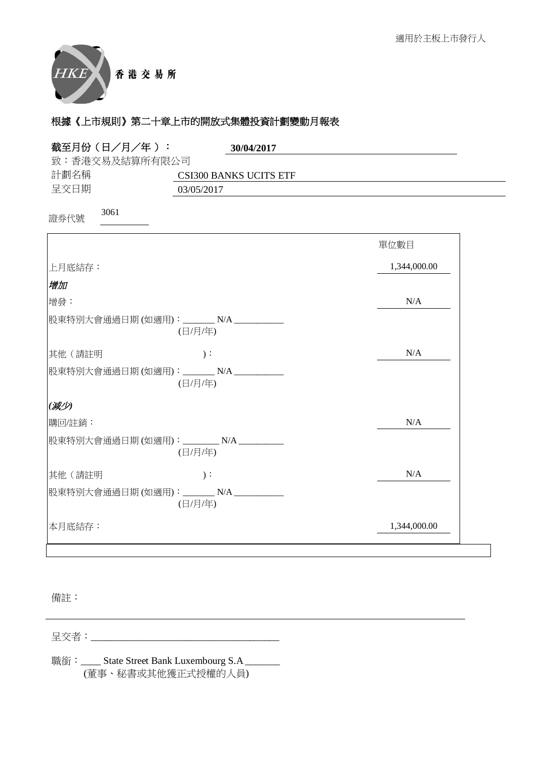

| 截至月份 (日/月/年):<br>30/04/2017                        |              |
|----------------------------------------------------|--------------|
| 致:香港交易及結算所有限公司                                     |              |
| 計劃名稱<br><b>CSI300 BANKS UCITS ETF</b>              |              |
| 呈交日期<br>03/05/2017                                 |              |
| 3061<br>證券代號                                       |              |
|                                                    | 單位數目         |
| 上月底結存:                                             | 1,344,000.00 |
| 增加                                                 |              |
| 增發:                                                | N/A          |
| 股東特別大會通過日期(如適用): _______ N/A _________<br>(日/月/年)  |              |
| 其他 (請註明<br>$)$ :                                   | N/A          |
| 股東特別大會通過日期(如適用): _______N/A __________<br>(日/月/年)  |              |
| (减少)                                               |              |
| 購回/註銷:                                             | N/A          |
| 股東特別大會通過日期(如適用): ________ N/A _________<br>(日/月/年) |              |
| 其他(請註明<br>$)$ :                                    | N/A          |
| 股東特別大會通過日期(如適用): _______N/A __________<br>(日/月/年)  |              |
| 本月底結存:                                             | 1,344,000.00 |

備註:

⏰Ṍ侭烉\_\_\_\_\_\_\_\_\_\_\_\_\_\_\_\_\_\_\_\_\_\_\_\_\_\_\_\_\_\_\_\_\_\_\_\_\_\_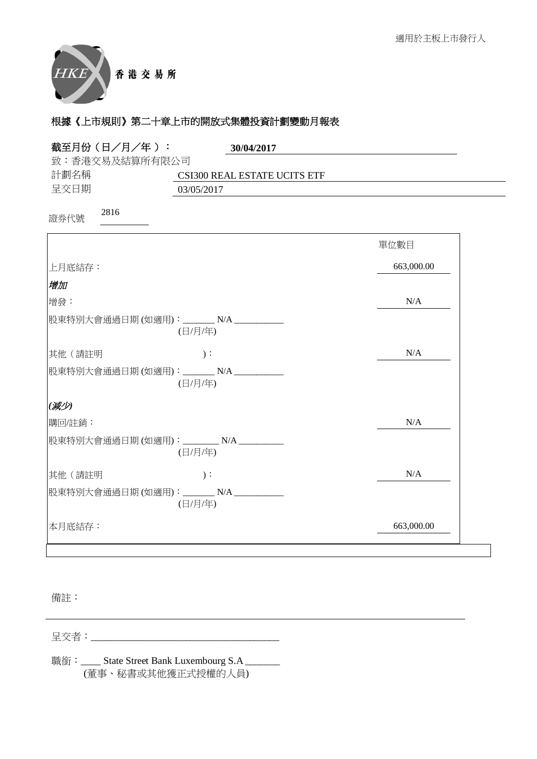

| 截至月份 (日/月/年):  | 30/04/2017                                         |            |
|----------------|----------------------------------------------------|------------|
| 致:香港交易及結算所有限公司 |                                                    |            |
| 計劃名稱           | CSI300 REAL ESTATE UCITS ETF                       |            |
| 呈交日期           | 03/05/2017                                         |            |
| 2816<br>證券代號   |                                                    |            |
|                |                                                    | 單位數目       |
| 上月底結存:         |                                                    | 663,000.00 |
| 增加             |                                                    |            |
| 增發:            |                                                    | N/A        |
|                | 股東特別大會通過日期(如適用): _______ N/A ________<br>(日/月/年)   |            |
| 其他(請註明         | $)$ :                                              | N/A        |
|                | 股東特別大會通過日期(如適用): _______ N/A __________<br>(日/月/年) |            |
| (减少)           |                                                    |            |
| 購回/註銷:         |                                                    | N/A        |
|                | 股東特別大會通過日期(如適用): ________ N/A _________<br>(日/月/年) |            |
| 其他 (請註明        | $)$ :                                              | N/A        |
|                | 股東特別大會通過日期(如適用): _______N/A __________<br>(日/月/年)  |            |
| 本月底結存:         |                                                    | 663,000.00 |

備註:

⏰Ṍ侭烉\_\_\_\_\_\_\_\_\_\_\_\_\_\_\_\_\_\_\_\_\_\_\_\_\_\_\_\_\_\_\_\_\_\_\_\_\_\_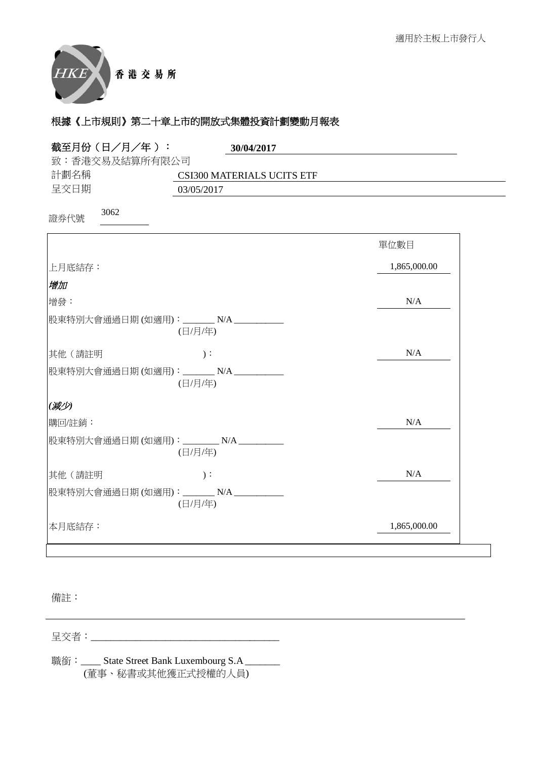

| 截至月份 (日/月/年):<br>30/04/2017                        |              |
|----------------------------------------------------|--------------|
| 致:香港交易及結算所有限公司                                     |              |
| 計劃名稱<br>CSI300 MATERIALS UCITS ETF                 |              |
| 呈交日期<br>03/05/2017                                 |              |
| 3062<br>證券代號                                       |              |
|                                                    | 單位數目         |
| 上月底結存:                                             | 1,865,000.00 |
| 增加                                                 |              |
| 增發:                                                | N/A          |
| 股東特別大會通過日期(如適用): _______ N/A _________<br>(日/月/年)  |              |
| 其他(請註明<br>$)$ :                                    | N/A          |
| 股東特別大會通過日期(如適用): _______N/A ___________<br>(日/月/年) |              |
| (减少)                                               |              |
| 購回/註銷:                                             | N/A          |
| 股東特別大會通過日期(如適用): ________N/A ________<br>(日/月/年)   |              |
| 其他(請註明<br>$)$ :                                    | N/A          |
| 股東特別大會通過日期(如適用): _______N/A __________<br>(日/月/年)  |              |
| 本月底結存:                                             | 1,865,000.00 |

備註:

⏰Ṍ侭烉\_\_\_\_\_\_\_\_\_\_\_\_\_\_\_\_\_\_\_\_\_\_\_\_\_\_\_\_\_\_\_\_\_\_\_\_\_\_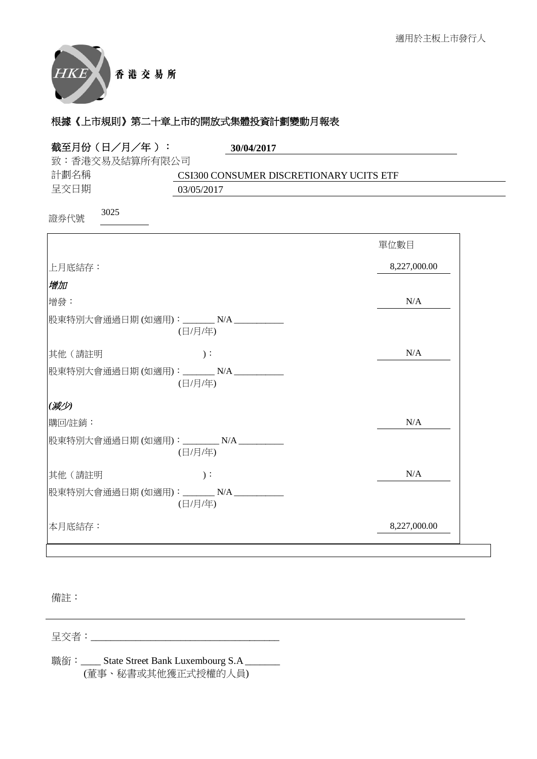

| 截至月份(日/月/年):                            | 30/04/2017                              |              |
|-----------------------------------------|-----------------------------------------|--------------|
| 致:香港交易及結算所有限公司                          |                                         |              |
| 計劃名稱                                    | CSI300 CONSUMER DISCRETIONARY UCITS ETF |              |
| 呈交日期                                    | 03/05/2017                              |              |
| 3025<br>證券代號                            |                                         |              |
|                                         |                                         | 單位數目         |
| 上月底結存:                                  |                                         | 8,227,000.00 |
| 增加                                      |                                         |              |
| 增發:                                     |                                         | N/A          |
| 股東特別大會通過日期 (如適用):_______ N/A __________ | (日/月/年)                                 |              |
| 其他(請註明                                  | $)$ :                                   | N/A          |
| 股東特別大會通過日期(如適用): _______N/A __________  | (日/月/年)                                 |              |
| (减少)                                    |                                         |              |
| 購回/註銷:                                  |                                         | N/A          |
| 股東特別大會通過日期(如適用): ________ N/A _________ | (日/月/年)                                 |              |
| 其他(請註明                                  | $)$ :                                   | N/A          |
| 股東特別大會通過日期(如適用): _______N/A __________  | (日/月/年)                                 |              |
| 本月底結存:                                  |                                         | 8,227,000.00 |

備註:

⏰Ṍ侭烉\_\_\_\_\_\_\_\_\_\_\_\_\_\_\_\_\_\_\_\_\_\_\_\_\_\_\_\_\_\_\_\_\_\_\_\_\_\_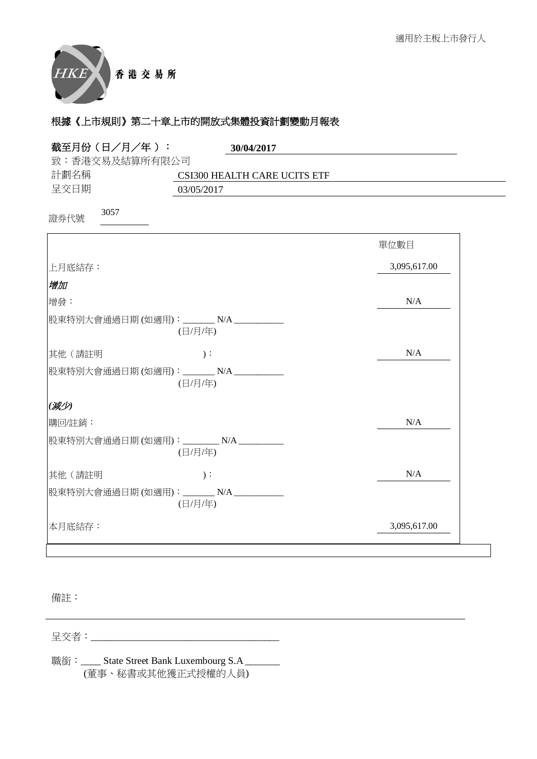

| 截至月份(日/月/年):<br>30/04/2017                        |              |
|---------------------------------------------------|--------------|
| 致:香港交易及結算所有限公司                                    |              |
| 計劃名稱<br><b>CSI300 HEALTH CARE UCITS ETF</b>       |              |
| 呈交日期<br>03/05/2017                                |              |
| 3057<br>證券代號                                      |              |
|                                                   | 單位數目         |
| 上月底結存:                                            | 3,095,617.00 |
| 增加                                                |              |
| 增發:                                               | N/A          |
| 股東特別大會通過日期(如適用): _______N/A __________<br>(日/月/年) |              |
| $)$ :<br>其他(請註明                                   | N/A          |
| 股東特別大會通過日期(如適用): ______N/A _________<br>(日/月/年)   |              |
| (减少)                                              |              |
| 購回/註銷:                                            | N/A          |
| 股東特別大會通過日期(如適用): ________N/A _________<br>(日/月/年) |              |
| 其他(請註明<br>$)$ :                                   | N/A          |
| 股東特別大會通過日期(如適用): _______N/A __________<br>(日/月/年) |              |
| 本月底結存:                                            | 3,095,617.00 |

備註:

⏰Ṍ侭烉\_\_\_\_\_\_\_\_\_\_\_\_\_\_\_\_\_\_\_\_\_\_\_\_\_\_\_\_\_\_\_\_\_\_\_\_\_\_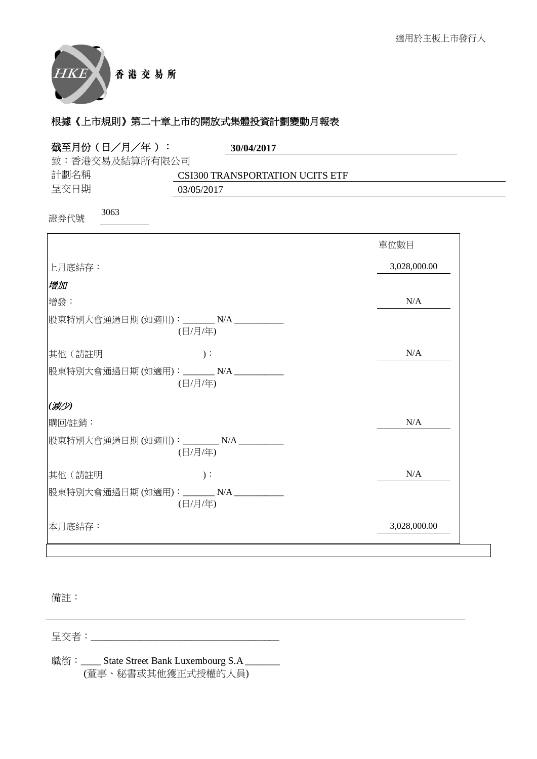

| 截至月份 (日/月/年):  | 30/04/2017                                         |              |
|----------------|----------------------------------------------------|--------------|
| 致:香港交易及結算所有限公司 |                                                    |              |
| 計劃名稱           | CSI300 TRANSPORTATION UCITS ETF                    |              |
| 呈交日期           | 03/05/2017                                         |              |
| 3063<br>證券代號   |                                                    |              |
|                |                                                    | 單位數目         |
| 上月底結存:         |                                                    | 3,028,000.00 |
| 增加             |                                                    |              |
| 增發:            |                                                    | N/A          |
|                | 股東特別大會通過日期(如適用): _______ N/A ________<br>(日/月/年)   |              |
| 其他(請註明         | $)$ :                                              | N/A          |
|                | 股東特別大會通過日期(如適用): _______ N/A __________<br>(日/月/年) |              |
| (减少)           |                                                    |              |
| 購回/註銷:         |                                                    | N/A          |
|                | 股東特別大會通過日期(如適用): ________ N/A _________<br>(日/月/年) |              |
| 其他(請註明         | $)$ :                                              | N/A          |
|                | 股東特別大會通過日期(如適用): _______N/A __________<br>(日/月/年)  |              |
| 本月底結存:         |                                                    | 3,028,000.00 |

備註:

⏰Ṍ侭烉\_\_\_\_\_\_\_\_\_\_\_\_\_\_\_\_\_\_\_\_\_\_\_\_\_\_\_\_\_\_\_\_\_\_\_\_\_\_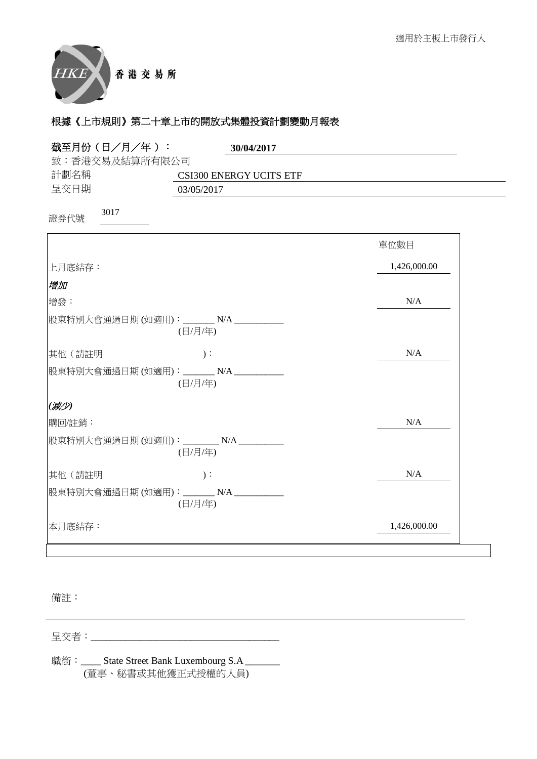

| 截至月份 (日/月/年):<br>30/04/2017                         |              |
|-----------------------------------------------------|--------------|
| 致:香港交易及結算所有限公司                                      |              |
| 計劃名稱<br><b>CSI300 ENERGY UCITS ETF</b>              |              |
| 呈交日期<br>03/05/2017                                  |              |
| 3017<br>證券代號                                        |              |
|                                                     | 單位數目         |
| 上月底結存:                                              | 1,426,000.00 |
| 增加                                                  |              |
| 增發:                                                 | N/A          |
| 股東特別大會通過日期(如適用): _______N/A _________<br>(日/月/年)    |              |
| 其他(請註明<br>$)$ :                                     | N/A          |
| 股東特別大會通過日期(如適用): _______N/A __________<br>(日/月/年)   |              |
| (减少)                                                |              |
| 購回/註銷:                                              | N/A          |
| 股東特別大會通過日期(如適用): ________ N/A __________<br>(日/月/年) |              |
| 其他(請註明<br>$)$ :                                     | N/A          |
| 股東特別大會通過日期(如適用): _______ N/A ___________<br>(日/月/年) |              |
| 本月底結存:                                              | 1,426,000.00 |

備註:

⏰Ṍ侭烉\_\_\_\_\_\_\_\_\_\_\_\_\_\_\_\_\_\_\_\_\_\_\_\_\_\_\_\_\_\_\_\_\_\_\_\_\_\_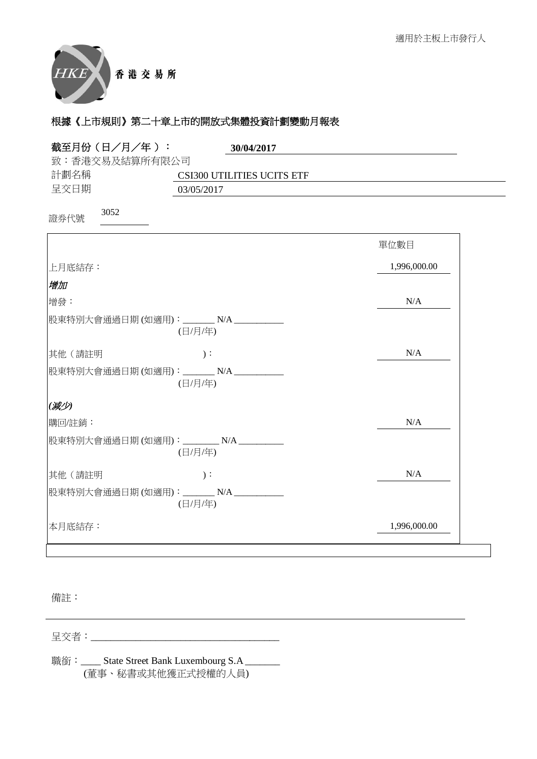

| 截至月份 (日/月/年):<br>30/04/2017                        |              |
|----------------------------------------------------|--------------|
| 致:香港交易及結算所有限公司                                     |              |
| 計劃名稱<br><b>CSI300 UTILITIES UCITS ETF</b>          |              |
| 呈交日期<br>03/05/2017                                 |              |
| 3052<br>證券代號                                       |              |
|                                                    | 單位數目         |
| 上月底結存:                                             | 1,996,000.00 |
| 增加                                                 |              |
| 增發:                                                | N/A          |
| 股東特別大會通過日期(如適用): _______ N/A _________<br>(日/月/年)  |              |
| 其他 (請註明<br>$)$ :                                   | N/A          |
| 股東特別大會通過日期(如適用): _______N/A __________<br>(日/月/年)  |              |
| (减少)                                               |              |
| 購回/註銷:                                             | N/A          |
| 股東特別大會通過日期(如適用): ________ N/A _________<br>(日/月/年) |              |
| 其他(請註明<br>$)$ :                                    | N/A          |
| 股東特別大會通過日期(如適用): _______N/A ___________<br>(日/月/年) |              |
| 本月底結存:                                             | 1,996,000.00 |

備註:

⏰Ṍ侭烉\_\_\_\_\_\_\_\_\_\_\_\_\_\_\_\_\_\_\_\_\_\_\_\_\_\_\_\_\_\_\_\_\_\_\_\_\_\_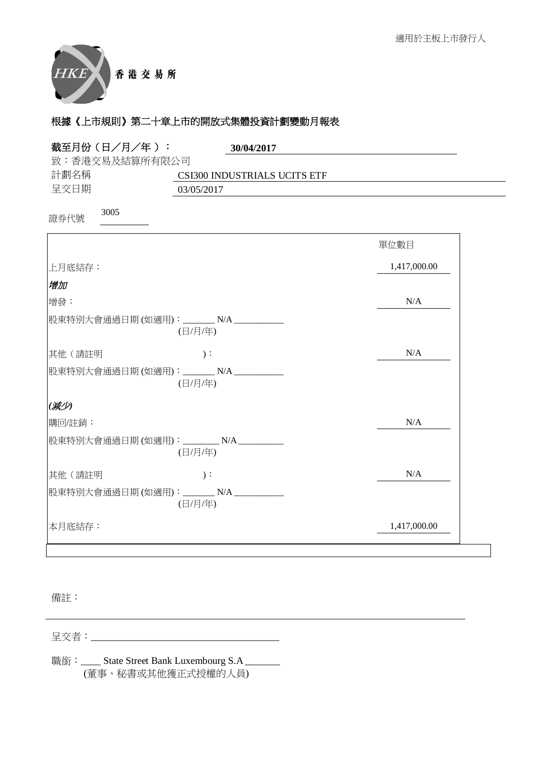

| 截至月份 (日/月/年):<br>30/04/2017                        |              |
|----------------------------------------------------|--------------|
| 致:香港交易及結算所有限公司                                     |              |
| 計劃名稱<br>CSI300 INDUSTRIALS UCITS ETF               |              |
| 呈交日期<br>03/05/2017                                 |              |
| 3005<br>證券代號                                       |              |
|                                                    | 單位數目         |
| 上月底結存:                                             | 1,417,000.00 |
| 增加                                                 |              |
| 增發:                                                | N/A          |
| 股東特別大會通過日期(如適用): _______N/A _________<br>(日/月/年)   |              |
| 其他(請註明<br>$)$ :                                    | N/A          |
| 股東特別大會通過日期(如適用): _______N/A ___________<br>(日/月/年) |              |
| (减少)                                               |              |
| 購回/註銷:                                             | N/A          |
| 股東特別大會通過日期 (如適用):________ N/A _________<br>(日/月/年) |              |
| 其他 (請註明<br>$)$ :                                   | N/A          |
| 股東特別大會通過日期(如適用): _______N/A __________<br>(日/月/年)  |              |
| 本月底結存:                                             | 1,417,000.00 |

備註:

⏰Ṍ侭烉\_\_\_\_\_\_\_\_\_\_\_\_\_\_\_\_\_\_\_\_\_\_\_\_\_\_\_\_\_\_\_\_\_\_\_\_\_\_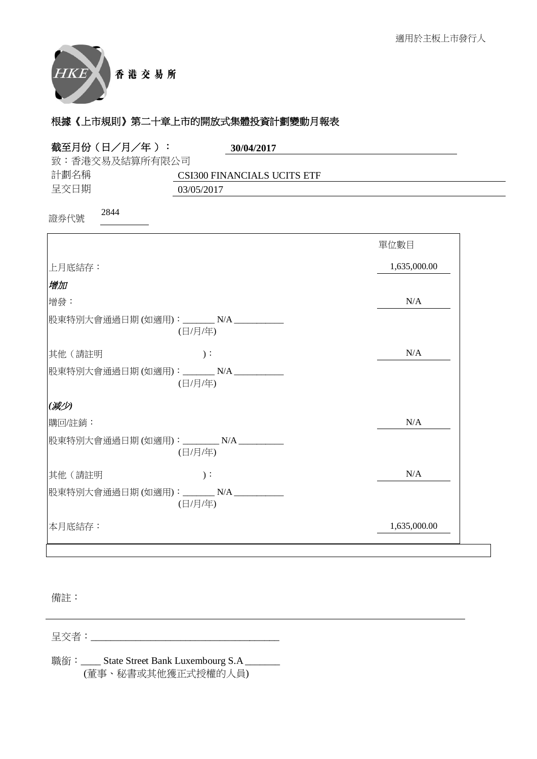

| 截至月份 (日/月/年):<br>30/04/2017                        |              |
|----------------------------------------------------|--------------|
| 致:香港交易及結算所有限公司                                     |              |
| 計劃名稱<br>CSI300 FINANCIALS UCITS ETF                |              |
| 呈交日期<br>03/05/2017                                 |              |
| 2844<br>證券代號                                       |              |
|                                                    | 單位數目         |
| 上月底結存:                                             | 1,635,000.00 |
| 增加                                                 |              |
| 增發:                                                | N/A          |
| 股東特別大會通過日期(如適用): _______N/A ________<br>(日/月/年)    |              |
| 其他 (請註明<br>$)$ :                                   | N/A          |
| 股東特別大會通過日期(如適用): _______N/A __________<br>(日/月/年)  |              |
| (减少)                                               |              |
| 購回/註銷:                                             | N/A          |
| 股東特別大會通過日期(如適用): ________ N/A _________<br>(日/月/年) |              |
| 其他(請註明<br>$)$ :                                    | N/A          |
| 股東特別大會通過日期(如適用): _______N/A __________<br>(日/月/年)  |              |
| 本月底結存:                                             | 1,635,000.00 |

備註:

⏰Ṍ侭烉\_\_\_\_\_\_\_\_\_\_\_\_\_\_\_\_\_\_\_\_\_\_\_\_\_\_\_\_\_\_\_\_\_\_\_\_\_\_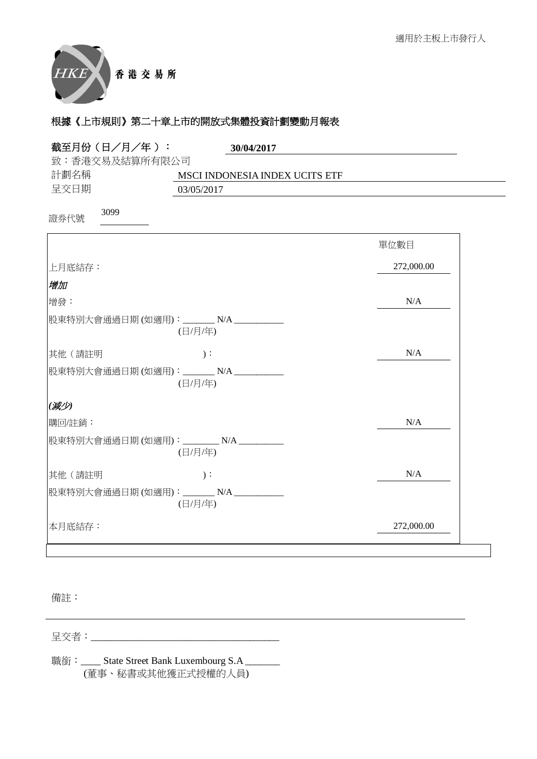

| 截至月份(日/月/年):<br>30/04/2017                          |            |
|-----------------------------------------------------|------------|
| 致:香港交易及結算所有限公司                                      |            |
| 計劃名稱<br>MSCI INDONESIA INDEX UCITS ETF              |            |
| 呈交日期<br>03/05/2017                                  |            |
| 3099<br>證券代號                                        |            |
|                                                     | 單位數目       |
| 上月底結存:                                              | 272,000.00 |
| 增加                                                  |            |
| 增發:                                                 | N/A        |
| 股東特別大會通過日期 (如適用):_______ N/A ___________<br>(日/月/年) |            |
| $)$ :<br>其他 (請註明                                    | N/A        |
| 股東特別大會通過日期(如適用): ______N/A _________<br>(日/月/年)     |            |
| (减少)                                                |            |
| 購回/註銷:                                              | N/A        |
| 股東特別大會通過日期(如適用): ________ N/A _________<br>(日/月/年)  |            |
| 其他(請註明<br>$)$ :                                     | N/A        |
| 股東特別大會通過日期(如適用): _______N/A __________<br>(日/月/年)   |            |
| 本月底結存:                                              | 272,000.00 |

備註:

⏰Ṍ侭烉\_\_\_\_\_\_\_\_\_\_\_\_\_\_\_\_\_\_\_\_\_\_\_\_\_\_\_\_\_\_\_\_\_\_\_\_\_\_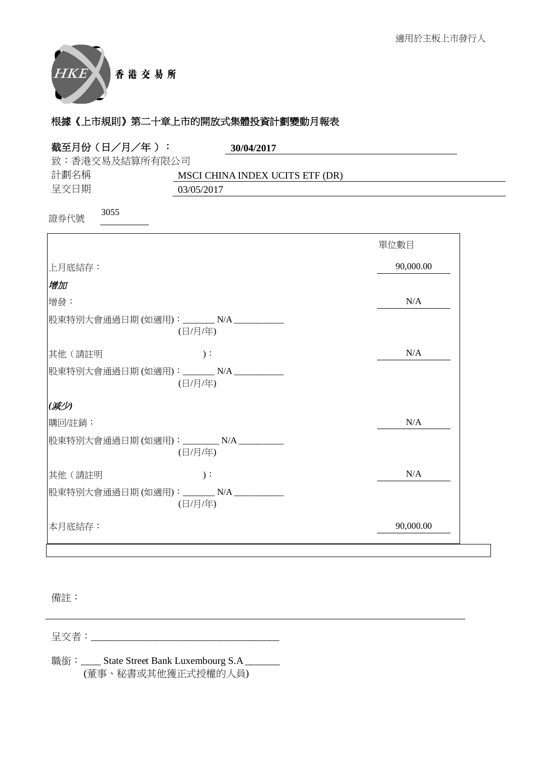

| 截至月份(日/月/年):                           | 30/04/2017                      |           |
|----------------------------------------|---------------------------------|-----------|
| 致:香港交易及結算所有限公司                         |                                 |           |
| 計劃名稱                                   | MSCI CHINA INDEX UCITS ETF (DR) |           |
| 呈交日期                                   | 03/05/2017                      |           |
| 3055<br>證券代號                           |                                 |           |
|                                        |                                 | 單位數目      |
| 上月底結存:                                 |                                 | 90,000.00 |
| 增加                                     |                                 |           |
| 增發:                                    |                                 | N/A       |
| 股東特別大會通過日期(如適用): _______N/A ________   | (日/月/年)                         |           |
| 其他(請註明                                 | $)$ :                           | N/A       |
| 股東特別大會通過日期(如適用): _______N/A __________ | (日/月/年)                         |           |
| (减少)                                   |                                 |           |
| 購回/註銷:                                 |                                 | N/A       |
| 股東特別大會通過日期(如適用): ________N/A ________  | (日/月/年)                         |           |
| 其他(請註明                                 | $)$ :                           | N/A       |
| 股東特別大會通過日期(如適用): _______ N/A _________ | (日/月/年)                         |           |
| 本月底結存:                                 |                                 | 90,000.00 |
|                                        |                                 |           |

備註:

⏰Ṍ侭烉\_\_\_\_\_\_\_\_\_\_\_\_\_\_\_\_\_\_\_\_\_\_\_\_\_\_\_\_\_\_\_\_\_\_\_\_\_\_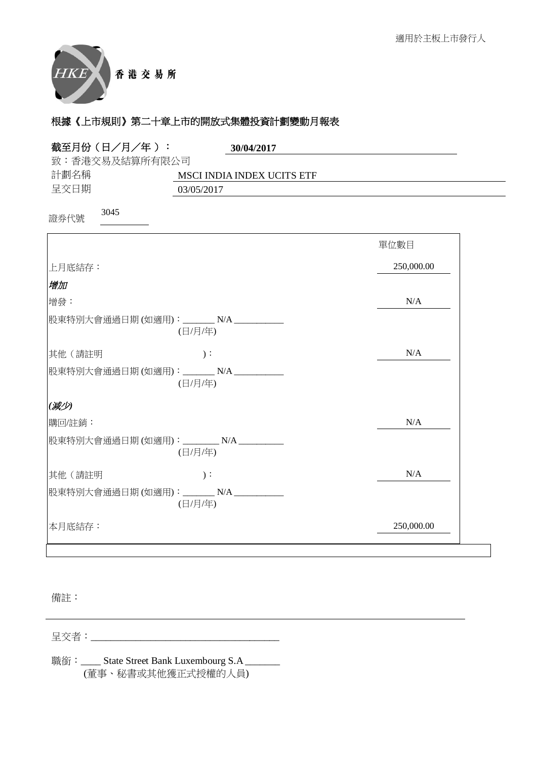

| 截至月份(日/月/年):<br>30/04/2017                               |            |
|----------------------------------------------------------|------------|
| 致:香港交易及結算所有限公司                                           |            |
| 計劃名稱<br>MSCI INDIA INDEX UCITS ETF<br>呈交日期<br>03/05/2017 |            |
|                                                          |            |
| 3045<br>證券代號                                             |            |
|                                                          | 單位數目       |
| 上月底結存:                                                   | 250,000.00 |
| 增加                                                       |            |
| 增發:                                                      | N/A        |
| 股東特別大會通過日期(如適用): _______N/A __________<br>(日/月/年)        |            |
| 其他(請註明<br>$)$ :                                          | N/A        |
| 股東特別大會通過日期(如適用): ______ N/A _________<br>(日/月/年)         |            |
| (减少)                                                     |            |
| 購回/註銷:                                                   | N/A        |
| 股東特別大會通過日期(如適用): ________ N/A __________<br>(日/月/年)      |            |
| 其他(請註明<br>$)$ :                                          | N/A        |
| 股東特別大會通過日期(如適用): _______ N/A ________<br>(日/月/年)         |            |
| 本月底結存:                                                   | 250,000.00 |

備註:

⏰Ṍ侭烉\_\_\_\_\_\_\_\_\_\_\_\_\_\_\_\_\_\_\_\_\_\_\_\_\_\_\_\_\_\_\_\_\_\_\_\_\_\_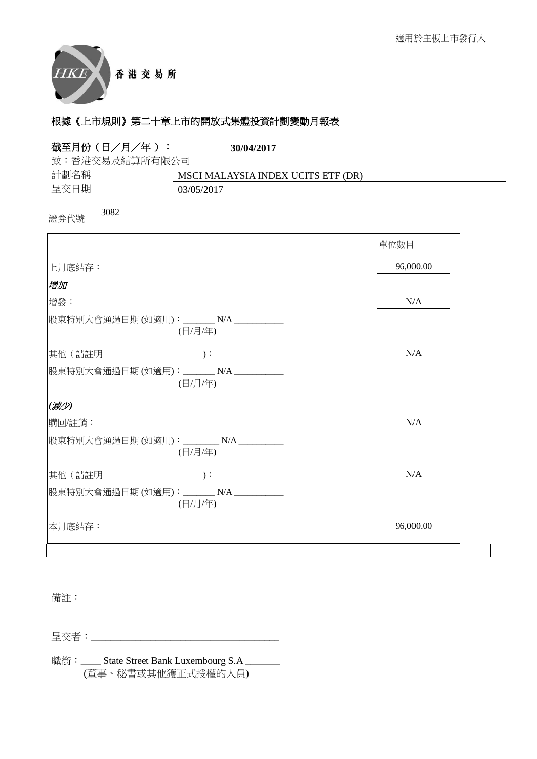

| 致:香港交易及結算所有限公司<br>計劃名稱<br>MSCI MALAYSIA INDEX UCITS ETF (DR)<br>呈交日期<br>03/05/2017<br>3082<br>證券代號<br>單位數目<br>96,000.00<br> 上月底結存:<br>增加<br>N/A<br>增發:<br>股東特別大會通過日期 (如適用):_______ N/A _________<br>(日/月/年)<br>其他(請註明<br>N/A<br>$)$ :<br>股東特別大會通過日期(如適用): _______ N/A _________<br>(日/月/年)<br>(减少)<br>N/A<br>購回/註銷:<br>股東特別大會通過日期(如適用): ________ N/A _______<br>(日/月/年)<br>N/A<br>其他(請註明<br>$)$ :<br>股東特別大會通過日期(如適用): _______ N/A _______<br>(日/月/年)<br>96,000.00<br>本月底結存: | 截至月份(日/月/年): | 30/04/2017 |  |
|-----------------------------------------------------------------------------------------------------------------------------------------------------------------------------------------------------------------------------------------------------------------------------------------------------------------------------------------------------------------------------------------------------------------------------------------------------------------------------|--------------|------------|--|
|                                                                                                                                                                                                                                                                                                                                                                                                                                                                             |              |            |  |
|                                                                                                                                                                                                                                                                                                                                                                                                                                                                             |              |            |  |
|                                                                                                                                                                                                                                                                                                                                                                                                                                                                             |              |            |  |
|                                                                                                                                                                                                                                                                                                                                                                                                                                                                             |              |            |  |
|                                                                                                                                                                                                                                                                                                                                                                                                                                                                             |              |            |  |
|                                                                                                                                                                                                                                                                                                                                                                                                                                                                             |              |            |  |
|                                                                                                                                                                                                                                                                                                                                                                                                                                                                             |              |            |  |
|                                                                                                                                                                                                                                                                                                                                                                                                                                                                             |              |            |  |
|                                                                                                                                                                                                                                                                                                                                                                                                                                                                             |              |            |  |
|                                                                                                                                                                                                                                                                                                                                                                                                                                                                             |              |            |  |
|                                                                                                                                                                                                                                                                                                                                                                                                                                                                             |              |            |  |
|                                                                                                                                                                                                                                                                                                                                                                                                                                                                             |              |            |  |
|                                                                                                                                                                                                                                                                                                                                                                                                                                                                             |              |            |  |
|                                                                                                                                                                                                                                                                                                                                                                                                                                                                             |              |            |  |
|                                                                                                                                                                                                                                                                                                                                                                                                                                                                             |              |            |  |
|                                                                                                                                                                                                                                                                                                                                                                                                                                                                             |              |            |  |
|                                                                                                                                                                                                                                                                                                                                                                                                                                                                             |              |            |  |

備註:

⏰Ṍ侭烉\_\_\_\_\_\_\_\_\_\_\_\_\_\_\_\_\_\_\_\_\_\_\_\_\_\_\_\_\_\_\_\_\_\_\_\_\_\_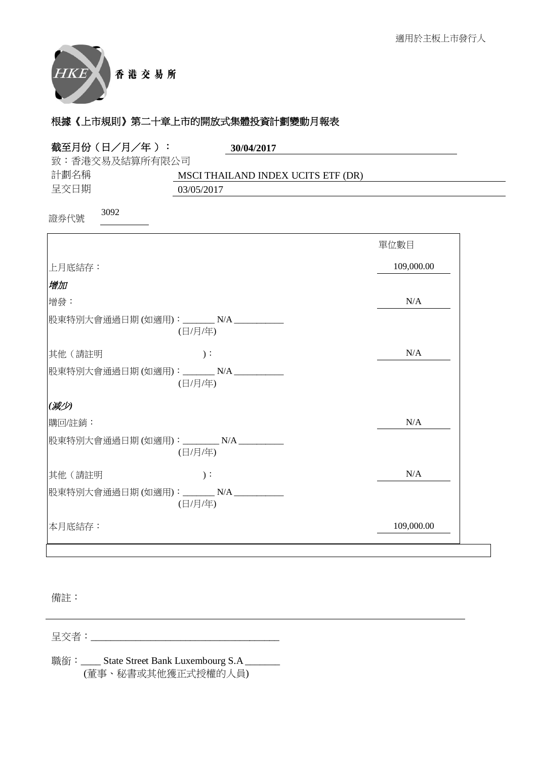

| 截至月份 (日/月/年):                           | 30/04/2017                         |            |
|-----------------------------------------|------------------------------------|------------|
| 致:香港交易及結算所有限公司                          |                                    |            |
| 計劃名稱                                    | MSCI THAILAND INDEX UCITS ETF (DR) |            |
| 呈交日期                                    | 03/05/2017                         |            |
| 3092<br>證券代號                            |                                    |            |
|                                         |                                    | 單位數目       |
| 上月底結存:                                  |                                    | 109,000.00 |
| 增加                                      |                                    |            |
| 增發:                                     |                                    | N/A        |
| 股東特別大會通過日期(如適用): _______N/A ________    | (日/月/年)                            |            |
| 其他(請註明                                  | $)$ :                              | N/A        |
| 股東特別大會通過日期(如適用): _______N/A __________  | (日/月/年)                            |            |
| (减少)                                    |                                    |            |
| 購回/註銷:                                  |                                    | N/A        |
| 股東特別大會通過日期(如適用): ________ N/A _________ | (日/月/年)                            |            |
| 其他 (請註明                                 | $)$ :                              | N/A        |
| 股東特別大會通過日期(如適用): ______N/A _________    | (日/月/年)                            |            |
| 本月底結存:                                  |                                    | 109,000.00 |
|                                         |                                    |            |

備註:

⏰Ṍ侭烉\_\_\_\_\_\_\_\_\_\_\_\_\_\_\_\_\_\_\_\_\_\_\_\_\_\_\_\_\_\_\_\_\_\_\_\_\_\_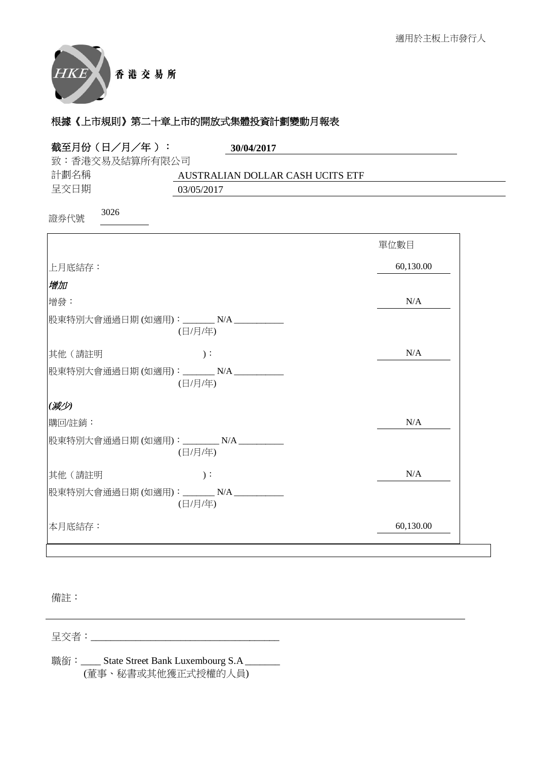

| 截至月份(日/月/年 ):                          | 30/04/2017                       |           |
|----------------------------------------|----------------------------------|-----------|
| 致:香港交易及結算所有限公司                         |                                  |           |
| 計劃名稱                                   | AUSTRALIAN DOLLAR CASH UCITS ETF |           |
| 呈交日期                                   | 03/05/2017                       |           |
| 3026<br>證券代號                           |                                  |           |
|                                        |                                  | 單位數目      |
| 上月底結存:                                 |                                  | 60,130.00 |
| 增加                                     |                                  |           |
| 增發:                                    |                                  | N/A       |
| 股東特別大會通過日期(如適用): _______ N/A ________  | (日/月/年)                          |           |
| 其他(請註明                                 | $)$ :                            | N/A       |
| 股東特別大會通過日期(如適用): _______N/A _______    | (日/月/年)                          |           |
| (减少)                                   |                                  |           |
| 購回/註銷:                                 |                                  | N/A       |
| 股東特別大會通過日期 (如適用):________ N/A ________ | (日/月/年)                          |           |
| 其他(請註明                                 | $)$ :                            | N/A       |
| 股東特別大會通過日期(如適用): _______N/A ________   | (日/月/年)                          |           |
| 本月底結存:                                 |                                  | 60,130.00 |

備註:

⏰Ṍ侭烉\_\_\_\_\_\_\_\_\_\_\_\_\_\_\_\_\_\_\_\_\_\_\_\_\_\_\_\_\_\_\_\_\_\_\_\_\_\_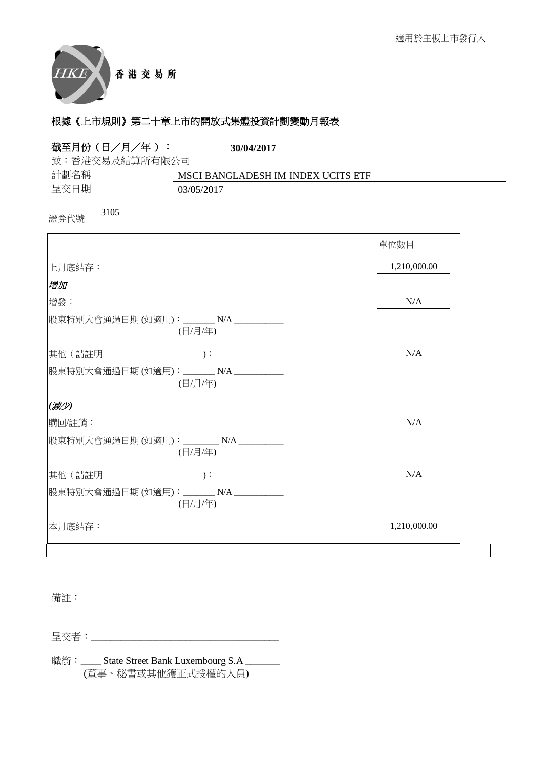

| 截至月份(日/月/年):                            | 30/04/2017                         |              |
|-----------------------------------------|------------------------------------|--------------|
| 致:香港交易及結算所有限公司                          |                                    |              |
| 計劃名稱                                    | MSCI BANGLADESH IM INDEX UCITS ETF |              |
| 呈交日期                                    | 03/05/2017                         |              |
| 3105<br>證券代號                            |                                    |              |
|                                         |                                    | 單位數目         |
| 上月底結存:                                  |                                    | 1,210,000.00 |
| 增加                                      |                                    |              |
| 增發:                                     |                                    | N/A          |
| 股東特別大會通過日期(如適用): _______N/A ________    | (日/月/年)                            |              |
| 其他 (請註明                                 | $)$ :                              | N/A          |
| 股東特別大會通過日期 (如適用):_______ N/A __________ | (日/月/年)                            |              |
| (减少)                                    |                                    |              |
| 購回/註銷:                                  |                                    | N/A          |
| 股東特別大會通過日期(如適用): ________ N/A _______   | (日/月/年)                            |              |
| 其他(請註明                                  | $)$ :                              | N/A          |
| 股東特別大會通過日期(如適用): _______N/A __________  | (日/月/年)                            |              |
| 本月底結存:                                  |                                    | 1,210,000.00 |

備註:

⏰Ṍ侭烉\_\_\_\_\_\_\_\_\_\_\_\_\_\_\_\_\_\_\_\_\_\_\_\_\_\_\_\_\_\_\_\_\_\_\_\_\_\_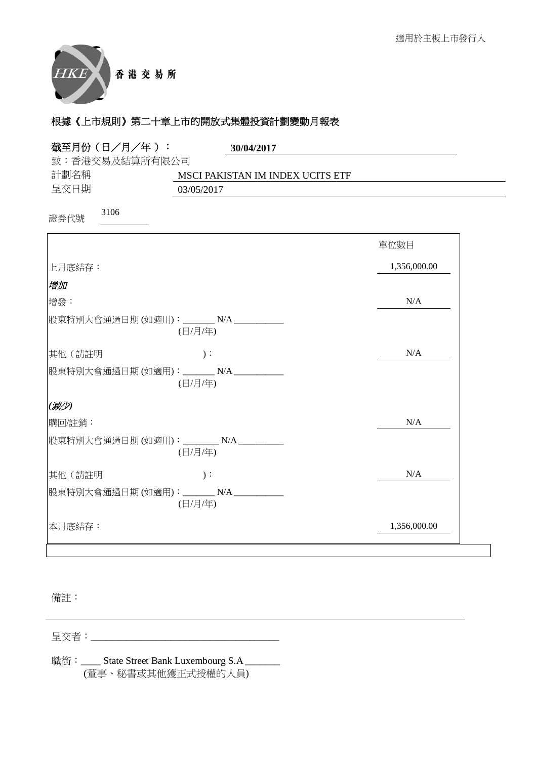

| 截至月份(日/月/年):<br>30/04/2017                         |              |
|----------------------------------------------------|--------------|
| 致:香港交易及結算所有限公司                                     |              |
| 計劃名稱<br>MSCI PAKISTAN IM INDEX UCITS ETF           |              |
| 呈交日期<br>03/05/2017                                 |              |
| 3106<br>證券代號                                       |              |
|                                                    | 單位數目         |
| 上月底結存:                                             | 1,356,000.00 |
| 增加                                                 |              |
| 增發:                                                | N/A          |
| 股東特別大會通過日期 (如適用):_______ N/A __________<br>(日/月/年) |              |
| $)$ :<br>其他 (請註明                                   | N/A          |
| 股東特別大會通過日期(如適用): ______N/A _________<br>(日/月/年)    |              |
| (减少)                                               |              |
| 購回/註銷:                                             | N/A          |
| 股東特別大會通過日期(如適用): ________N/A __________<br>(日/月/年) |              |
| 其他(請註明<br>$)$ :                                    | N/A          |
| 股東特別大會通過日期(如適用): _______N/A _________<br>(日/月/年)   |              |
| 本月底結存:                                             | 1,356,000.00 |

備註:

⏰Ṍ侭烉\_\_\_\_\_\_\_\_\_\_\_\_\_\_\_\_\_\_\_\_\_\_\_\_\_\_\_\_\_\_\_\_\_\_\_\_\_\_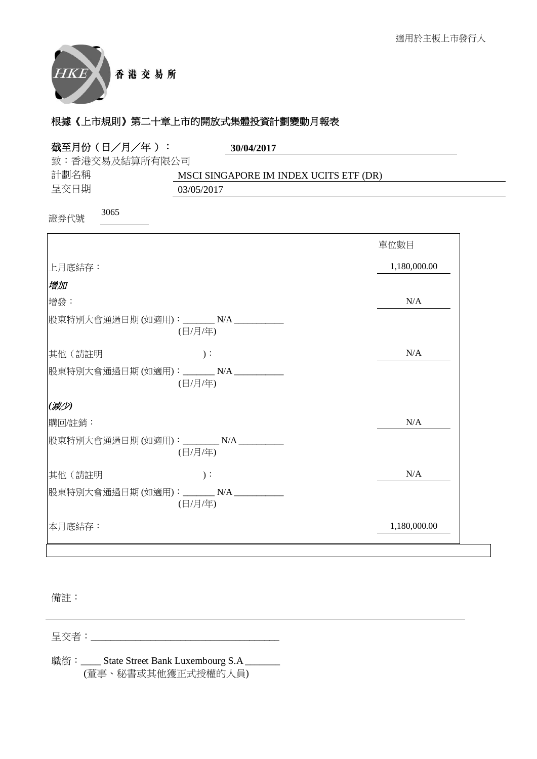

| 截至月份 (日/月/年):                           | 30/04/2017                             |              |
|-----------------------------------------|----------------------------------------|--------------|
| 致:香港交易及結算所有限公司                          |                                        |              |
| 計劃名稱                                    | MSCI SINGAPORE IM INDEX UCITS ETF (DR) |              |
| 呈交日期                                    | 03/05/2017                             |              |
| 3065<br>證券代號                            |                                        |              |
|                                         |                                        | 單位數目         |
| 上月底結存:                                  |                                        | 1,180,000.00 |
| 增加                                      |                                        |              |
| 增發:                                     |                                        | N/A          |
| 股東特別大會通過日期 (如適用):________ N/A _________ | (日/月/年)                                |              |
| 其他(請註明                                  | $)$ :                                  | N/A          |
| 股東特別大會通過日期(如適用): _______N/A _________   | (日/月/年)                                |              |
| (减少)                                    |                                        |              |
| 購回/註銷:                                  |                                        | N/A          |
| 股東特別大會通過日期(如適用): ________N/A _______    | (日/月/年)                                |              |
| 其他(請註明                                  | $)$ :                                  | N/A          |
| 股東特別大會通過日期(如適用): _______N/A __________  | (日/月/年)                                |              |
| 本月底結存:                                  |                                        | 1,180,000.00 |

備註:

⏰Ṍ侭烉\_\_\_\_\_\_\_\_\_\_\_\_\_\_\_\_\_\_\_\_\_\_\_\_\_\_\_\_\_\_\_\_\_\_\_\_\_\_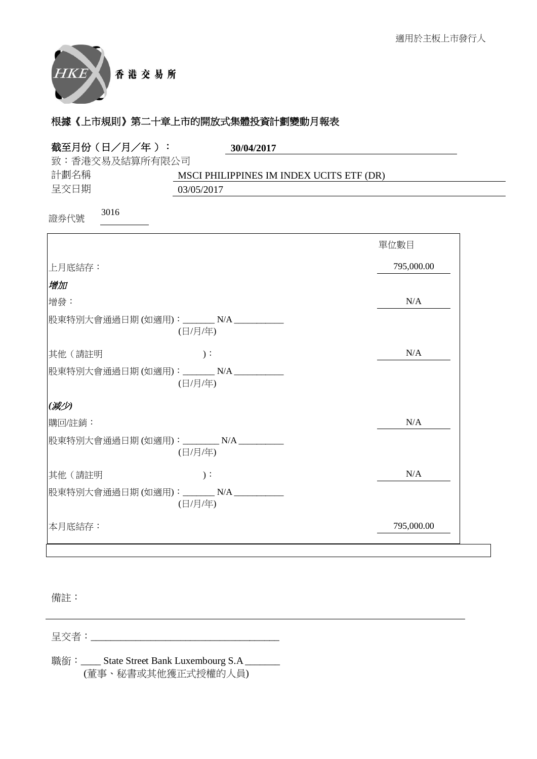

| 截至月份(日/月/年 ):                         | 30/04/2017                               |            |
|---------------------------------------|------------------------------------------|------------|
| 致:香港交易及結算所有限公司                        |                                          |            |
| 計劃名稱<br>呈交日期                          | MSCI PHILIPPINES IM INDEX UCITS ETF (DR) |            |
|                                       | 03/05/2017                               |            |
| 3016<br>證券代號                          |                                          |            |
|                                       |                                          | 單位數目       |
| 上月底結存:                                |                                          | 795,000.00 |
| 增加                                    |                                          |            |
| 增發:                                   |                                          | N/A        |
| 股東特別大會通過日期 (如適用):_______ N/A ________ | (日/月/年)                                  |            |
| 其他(請註明                                | $)$ :                                    | N/A        |
| 股東特別大會通過日期(如適用): _______ N/A ________ | (日/月/年)                                  |            |
| (减少)                                  |                                          |            |
| 購回/註銷:                                |                                          | N/A        |
| 股東特別大會通過日期 (如適用):________ N/A _______ | (日/月/年)                                  |            |
| 其他(請註明                                | $)$ :                                    | N/A        |
| 股東特別大會通過日期(如適用): _______N/A _______   | (日/月/年)                                  |            |
| 本月底結存:                                |                                          | 795,000.00 |

備註:

⏰Ṍ侭烉\_\_\_\_\_\_\_\_\_\_\_\_\_\_\_\_\_\_\_\_\_\_\_\_\_\_\_\_\_\_\_\_\_\_\_\_\_\_